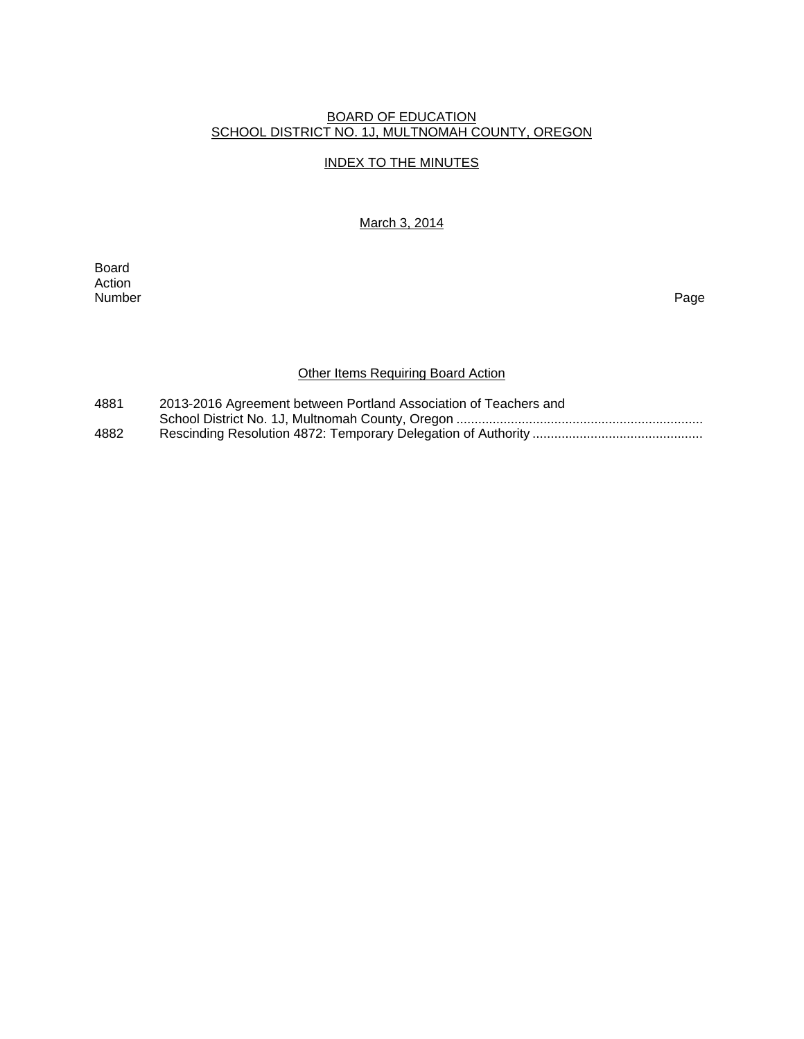#### BOARD OF EDUCATION SCHOOL DISTRICT NO. 1J, MULTNOMAH COUNTY, OREGON

## INDEX TO THE MINUTES

March 3, 2014

Board Action<br>Number Number Page

# Other Items Requiring Board Action

| 4881 | 2013-2016 Agreement between Portland Association of Teachers and |
|------|------------------------------------------------------------------|
|      |                                                                  |
| 4882 |                                                                  |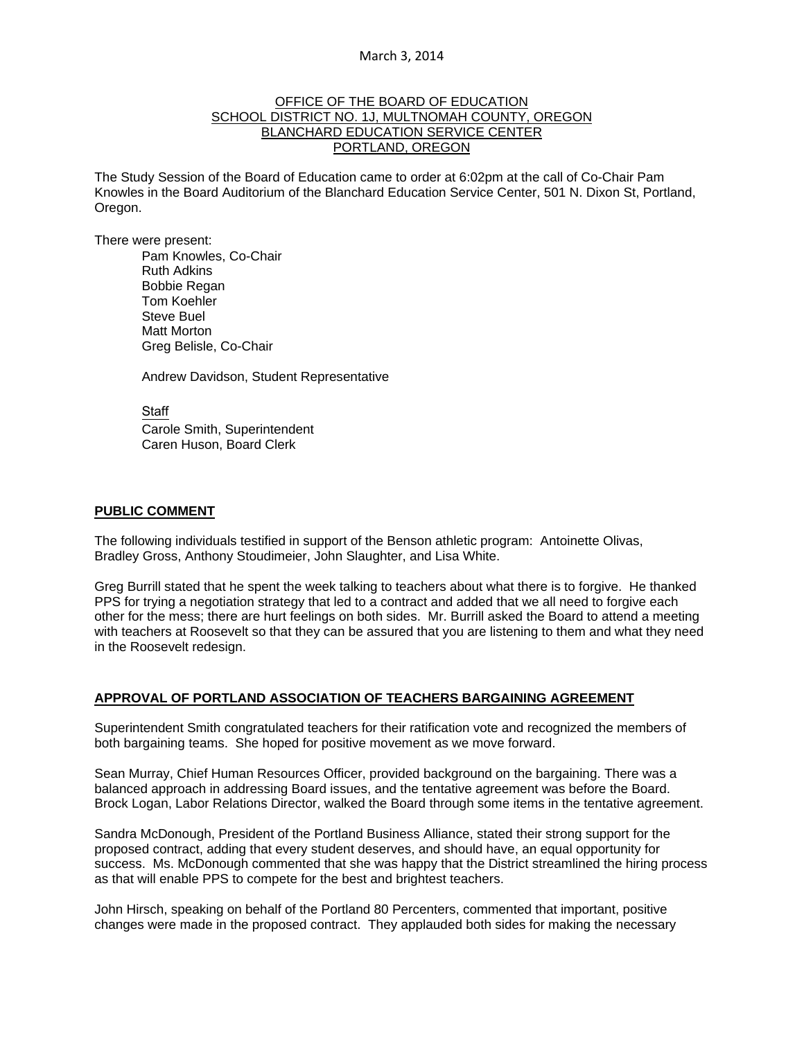#### March 3, 2014

#### OFFICE OF THE BOARD OF EDUCATION SCHOOL DISTRICT NO. 1J, MULTNOMAH COUNTY, OREGON BLANCHARD EDUCATION SERVICE CENTER PORTLAND, OREGON

The Study Session of the Board of Education came to order at 6:02pm at the call of Co-Chair Pam Knowles in the Board Auditorium of the Blanchard Education Service Center, 501 N. Dixon St, Portland, Oregon.

There were present: Pam Knowles, Co-Chair Ruth Adkins Bobbie Regan Tom Koehler Steve Buel Matt Morton Greg Belisle, Co-Chair

Andrew Davidson, Student Representative

**Staff** 

 Carole Smith, Superintendent Caren Huson, Board Clerk

#### **PUBLIC COMMENT**

The following individuals testified in support of the Benson athletic program: Antoinette Olivas, Bradley Gross, Anthony Stoudimeier, John Slaughter, and Lisa White.

Greg Burrill stated that he spent the week talking to teachers about what there is to forgive. He thanked PPS for trying a negotiation strategy that led to a contract and added that we all need to forgive each other for the mess; there are hurt feelings on both sides. Mr. Burrill asked the Board to attend a meeting with teachers at Roosevelt so that they can be assured that you are listening to them and what they need in the Roosevelt redesign.

#### **APPROVAL OF PORTLAND ASSOCIATION OF TEACHERS BARGAINING AGREEMENT**

Superintendent Smith congratulated teachers for their ratification vote and recognized the members of both bargaining teams. She hoped for positive movement as we move forward.

Sean Murray, Chief Human Resources Officer, provided background on the bargaining. There was a balanced approach in addressing Board issues, and the tentative agreement was before the Board. Brock Logan, Labor Relations Director, walked the Board through some items in the tentative agreement.

Sandra McDonough, President of the Portland Business Alliance, stated their strong support for the proposed contract, adding that every student deserves, and should have, an equal opportunity for success. Ms. McDonough commented that she was happy that the District streamlined the hiring process as that will enable PPS to compete for the best and brightest teachers.

John Hirsch, speaking on behalf of the Portland 80 Percenters, commented that important, positive changes were made in the proposed contract. They applauded both sides for making the necessary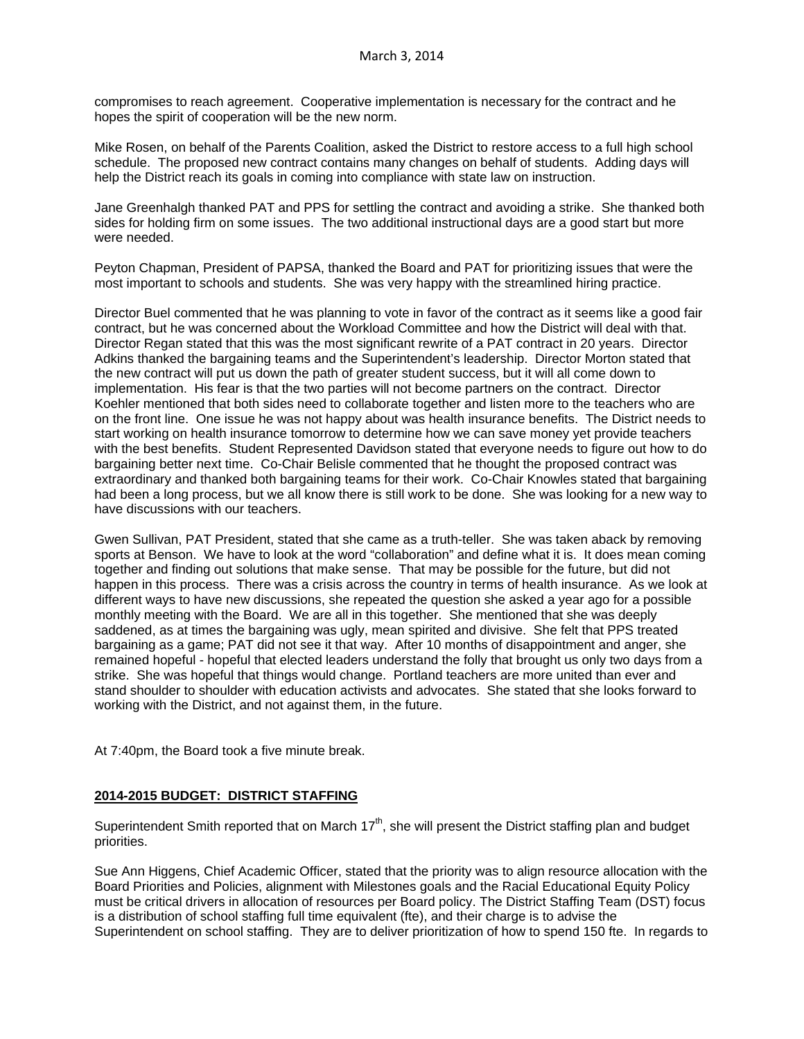compromises to reach agreement. Cooperative implementation is necessary for the contract and he hopes the spirit of cooperation will be the new norm.

Mike Rosen, on behalf of the Parents Coalition, asked the District to restore access to a full high school schedule. The proposed new contract contains many changes on behalf of students. Adding days will help the District reach its goals in coming into compliance with state law on instruction.

Jane Greenhalgh thanked PAT and PPS for settling the contract and avoiding a strike. She thanked both sides for holding firm on some issues. The two additional instructional days are a good start but more were needed.

Peyton Chapman, President of PAPSA, thanked the Board and PAT for prioritizing issues that were the most important to schools and students. She was very happy with the streamlined hiring practice.

Director Buel commented that he was planning to vote in favor of the contract as it seems like a good fair contract, but he was concerned about the Workload Committee and how the District will deal with that. Director Regan stated that this was the most significant rewrite of a PAT contract in 20 years. Director Adkins thanked the bargaining teams and the Superintendent's leadership. Director Morton stated that the new contract will put us down the path of greater student success, but it will all come down to implementation. His fear is that the two parties will not become partners on the contract. Director Koehler mentioned that both sides need to collaborate together and listen more to the teachers who are on the front line. One issue he was not happy about was health insurance benefits. The District needs to start working on health insurance tomorrow to determine how we can save money yet provide teachers with the best benefits. Student Represented Davidson stated that everyone needs to figure out how to do bargaining better next time. Co-Chair Belisle commented that he thought the proposed contract was extraordinary and thanked both bargaining teams for their work. Co-Chair Knowles stated that bargaining had been a long process, but we all know there is still work to be done. She was looking for a new way to have discussions with our teachers.

Gwen Sullivan, PAT President, stated that she came as a truth-teller. She was taken aback by removing sports at Benson. We have to look at the word "collaboration" and define what it is. It does mean coming together and finding out solutions that make sense. That may be possible for the future, but did not happen in this process. There was a crisis across the country in terms of health insurance. As we look at different ways to have new discussions, she repeated the question she asked a year ago for a possible monthly meeting with the Board. We are all in this together. She mentioned that she was deeply saddened, as at times the bargaining was ugly, mean spirited and divisive. She felt that PPS treated bargaining as a game; PAT did not see it that way. After 10 months of disappointment and anger, she remained hopeful - hopeful that elected leaders understand the folly that brought us only two days from a strike. She was hopeful that things would change. Portland teachers are more united than ever and stand shoulder to shoulder with education activists and advocates. She stated that she looks forward to working with the District, and not against them, in the future.

At 7:40pm, the Board took a five minute break.

# **2014-2015 BUDGET: DISTRICT STAFFING**

Superintendent Smith reported that on March  $17<sup>th</sup>$ , she will present the District staffing plan and budget priorities.

Sue Ann Higgens, Chief Academic Officer, stated that the priority was to align resource allocation with the Board Priorities and Policies, alignment with Milestones goals and the Racial Educational Equity Policy must be critical drivers in allocation of resources per Board policy. The District Staffing Team (DST) focus is a distribution of school staffing full time equivalent (fte), and their charge is to advise the Superintendent on school staffing. They are to deliver prioritization of how to spend 150 fte. In regards to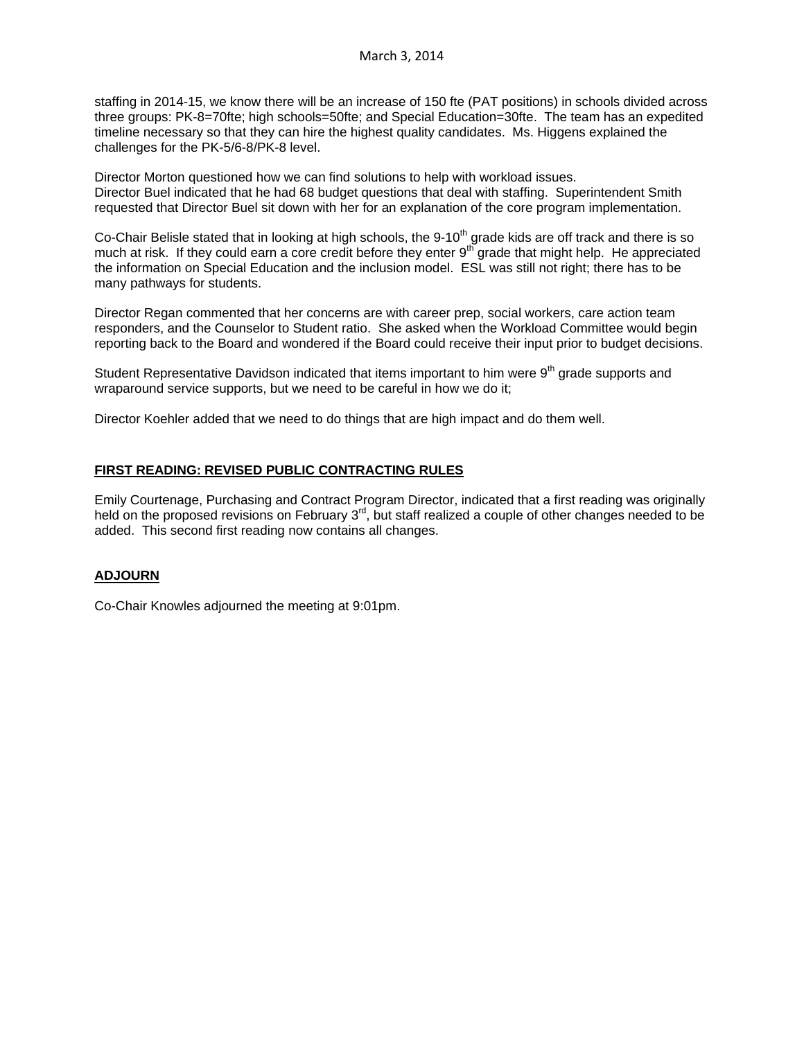staffing in 2014-15, we know there will be an increase of 150 fte (PAT positions) in schools divided across three groups: PK-8=70fte; high schools=50fte; and Special Education=30fte. The team has an expedited timeline necessary so that they can hire the highest quality candidates. Ms. Higgens explained the challenges for the PK-5/6-8/PK-8 level.

Director Morton questioned how we can find solutions to help with workload issues. Director Buel indicated that he had 68 budget questions that deal with staffing. Superintendent Smith requested that Director Buel sit down with her for an explanation of the core program implementation.

Co-Chair Belisle stated that in looking at high schools, the 9-10<sup>th</sup> grade kids are off track and there is so much at risk. If they could earn a core credit before they enter 9<sup>th</sup> grade that might help. He appreciated much at risk. the information on Special Education and the inclusion model. ESL was still not right; there has to be many pathways for students.

Director Regan commented that her concerns are with career prep, social workers, care action team responders, and the Counselor to Student ratio. She asked when the Workload Committee would begin reporting back to the Board and wondered if the Board could receive their input prior to budget decisions.

Student Representative Davidson indicated that items important to him were  $9<sup>th</sup>$  grade supports and wraparound service supports, but we need to be careful in how we do it;

Director Koehler added that we need to do things that are high impact and do them well.

# **FIRST READING: REVISED PUBLIC CONTRACTING RULES**

Emily Courtenage, Purchasing and Contract Program Director, indicated that a first reading was originally held on the proposed revisions on February  $3<sup>rd</sup>$ , but staff realized a couple of other changes needed to be added. This second first reading now contains all changes.

# **ADJOURN**

Co-Chair Knowles adjourned the meeting at 9:01pm.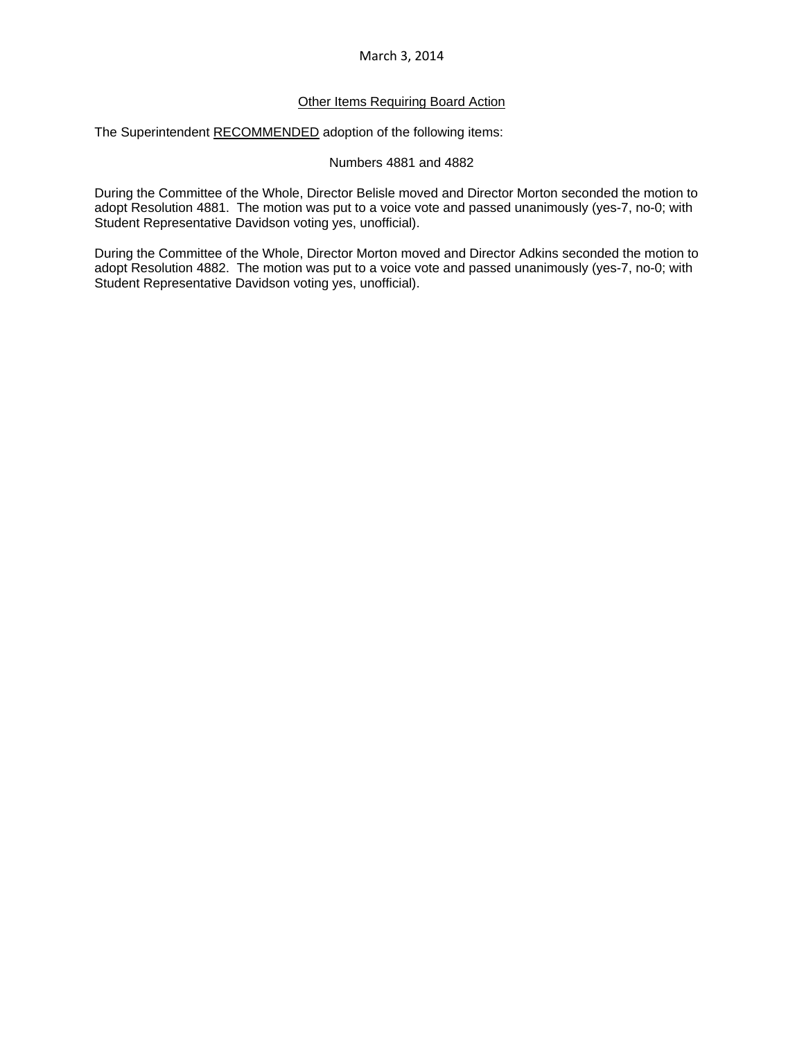## March 3, 2014

## Other Items Requiring Board Action

The Superintendent RECOMMENDED adoption of the following items:

#### Numbers 4881 and 4882

During the Committee of the Whole, Director Belisle moved and Director Morton seconded the motion to adopt Resolution 4881. The motion was put to a voice vote and passed unanimously (yes-7, no-0; with Student Representative Davidson voting yes, unofficial).

During the Committee of the Whole, Director Morton moved and Director Adkins seconded the motion to adopt Resolution 4882. The motion was put to a voice vote and passed unanimously (yes-7, no-0; with Student Representative Davidson voting yes, unofficial).